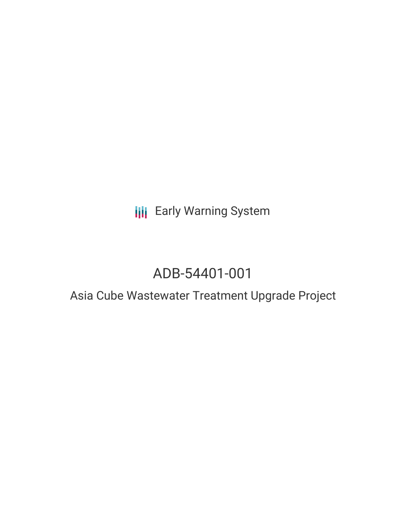**III** Early Warning System

# ADB-54401-001

## Asia Cube Wastewater Treatment Upgrade Project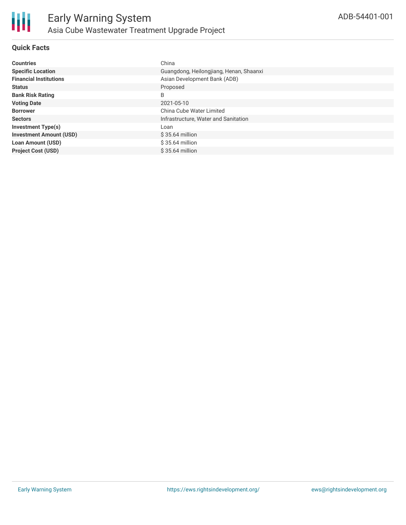

#### **Quick Facts**

| <b>Countries</b>               | China                                   |
|--------------------------------|-----------------------------------------|
| <b>Specific Location</b>       | Guangdong, Heilongjiang, Henan, Shaanxi |
| <b>Financial Institutions</b>  | Asian Development Bank (ADB)            |
| <b>Status</b>                  | Proposed                                |
| <b>Bank Risk Rating</b>        | B                                       |
| <b>Voting Date</b>             | 2021-05-10                              |
| <b>Borrower</b>                | China Cube Water Limited                |
| <b>Sectors</b>                 | Infrastructure, Water and Sanitation    |
| <b>Investment Type(s)</b>      | Loan                                    |
| <b>Investment Amount (USD)</b> | $$35.64$ million                        |
| <b>Loan Amount (USD)</b>       | \$35.64 million                         |
| <b>Project Cost (USD)</b>      | $$35.64$ million                        |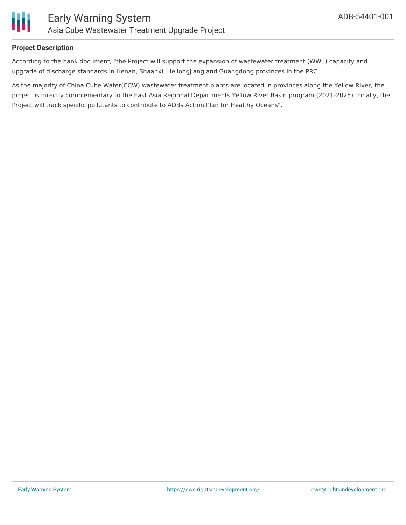

#### **Project Description**

According to the bank document, "the Project will support the expansion of wastewater treatment (WWT) capacity and upgrade of discharge standards in Henan, Shaanxi, Heilongjiang and Guangdong provinces in the PRC.

As the majority of China Cube Water(CCW) wastewater treatment plants are located in provinces along the Yellow River, the project is directly complementary to the East Asia Regional Departments Yellow River Basin program (2021-2025). Finally, the Project will track specific pollutants to contribute to ADBs Action Plan for Healthy Oceans".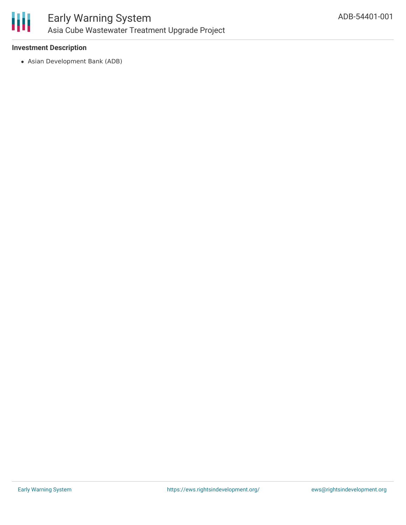

#### **Investment Description**

Asian Development Bank (ADB)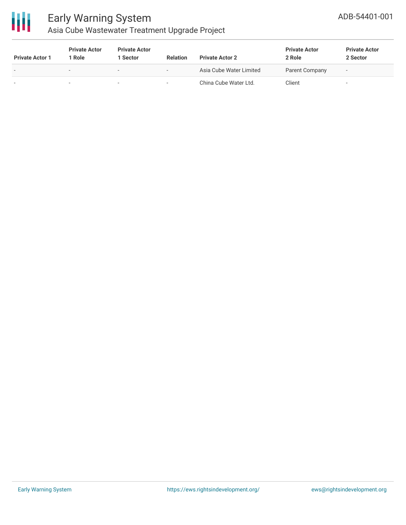

## Early Warning System Asia Cube Wastewater Treatment Upgrade Project

| <b>Private Actor 1</b>   | <b>Private Actor</b><br>Role | <b>Private Actor</b><br>l Sector | <b>Relation</b>          | <b>Private Actor 2</b>  | <b>Private Actor</b><br>2 Role | <b>Private Actor</b><br>2 Sector |
|--------------------------|------------------------------|----------------------------------|--------------------------|-------------------------|--------------------------------|----------------------------------|
| $\overline{\phantom{a}}$ | $\sim$                       | $\overline{\phantom{0}}$         | $\overline{\phantom{a}}$ | Asia Cube Water Limited | Parent Company                 | $\overline{\phantom{a}}$         |
|                          |                              | $\sim$                           |                          | China Cube Water Ltd.   | Client                         |                                  |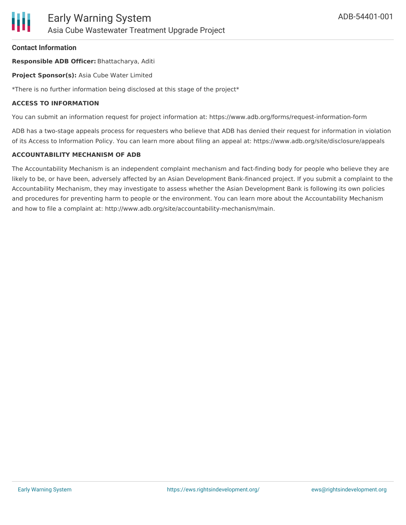#### **Contact Information**

**Responsible ADB Officer:** Bhattacharya, Aditi

**Project Sponsor(s):** Asia Cube Water Limited

\*There is no further information being disclosed at this stage of the project\*

#### **ACCESS TO INFORMATION**

You can submit an information request for project information at: https://www.adb.org/forms/request-information-form

ADB has a two-stage appeals process for requesters who believe that ADB has denied their request for information in violation of its Access to Information Policy. You can learn more about filing an appeal at: https://www.adb.org/site/disclosure/appeals

#### **ACCOUNTABILITY MECHANISM OF ADB**

The Accountability Mechanism is an independent complaint mechanism and fact-finding body for people who believe they are likely to be, or have been, adversely affected by an Asian Development Bank-financed project. If you submit a complaint to the Accountability Mechanism, they may investigate to assess whether the Asian Development Bank is following its own policies and procedures for preventing harm to people or the environment. You can learn more about the Accountability Mechanism and how to file a complaint at: http://www.adb.org/site/accountability-mechanism/main.